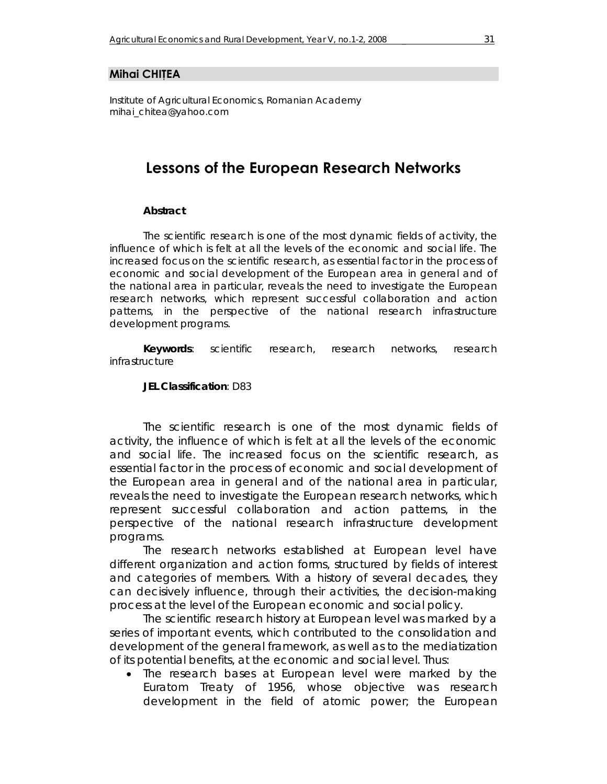#### **Mihai CHIŢEA**

*Institute of Agricultural Economics, Romanian Academy mihai\_chitea@yahoo.com* 

### **Lessons of the European Research Networks**

#### *Abstract*

*The scientific research is one of the most dynamic fields of activity, the influence of which is felt at all the levels of the economic and social life. The increased focus on the scientific research, as essential factor in the process of economic and social development of the European area in general and of the national area in particular, reveals the need to investigate the European research networks, which represent successful collaboration and action patterns, in the perspective of the national research infrastructure development programs.* 

*Keywords: scientific research, research networks, research infrastructure* 

*JEL Classification: D83* 

The scientific research is one of the most dynamic fields of activity, the influence of which is felt at all the levels of the economic and social life. The increased focus on the scientific research, as essential factor in the process of economic and social development of the European area in general and of the national area in particular, reveals the need to investigate the European research networks, which represent successful collaboration and action patterns, in the perspective of the national research infrastructure development programs.

 The research networks established at European level have different organization and action forms, structured by fields of interest and categories of members. With a history of several decades, they can decisively influence, through their activities, the decision-making process at the level of the European economic and social policy.

 The scientific research history at European level was marked by a series of important events, which contributed to the consolidation and development of the general framework, as well as to the mediatization of its potential benefits, at the economic and social level. Thus:

• The research bases at European level were marked by the Euratom Treaty of 1956, whose objective was research development in the field of atomic power; the European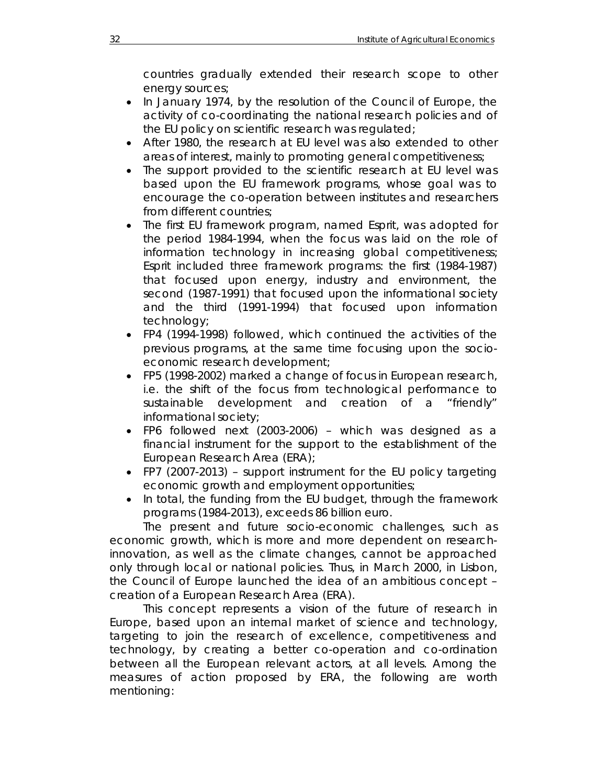countries gradually extended their research scope to other energy sources;

- In January 1974, by the resolution of the Council of Europe, the activity of co-coordinating the national research policies and of the EU policy on scientific research was regulated;
- After 1980, the research at EU level was also extended to other areas of interest, mainly to promoting general competitiveness;
- The support provided to the scientific research at EU level was based upon the EU framework programs, whose goal was to encourage the co-operation between institutes and researchers from different countries;
- The first EU framework program, named Esprit, was adopted for the period 1984-1994, when the focus was laid on the role of information technology in increasing global competitiveness; Esprit included three framework programs: the first (1984-1987) that focused upon energy, industry and environment, the second (1987-1991) that focused upon the informational society and the third (1991-1994) that focused upon information technology;
- FP4 (1994-1998) followed, which continued the activities of the previous programs, at the same time focusing upon the socioeconomic research development;
- FP5 (1998-2002) marked a change of focus in European research, i.e. the shift of the focus from technological performance to sustainable development and creation of a "friendly" informational society;
- FP6 followed next (2003-2006) which was designed as a financial instrument for the support to the establishment of the European Research Area (ERA);
- FP7 (2007-2013) support instrument for the EU policy targeting economic growth and employment opportunities;
- In total, the funding from the EU budget, through the framework programs (1984-2013), exceeds 86 billion euro.

The present and future socio-economic challenges, such as economic growth, which is more and more dependent on researchinnovation, as well as the climate changes, cannot be approached only through local or national policies. Thus, in March 2000, in Lisbon, the Council of Europe launched the idea of an ambitious concept – creation of a European Research Area (ERA).

 This concept represents a vision of the future of research in Europe, based upon an internal market of science and technology, targeting to join the research of excellence, competitiveness and technology, by creating a better co-operation and co-ordination between all the European relevant actors, at all levels. Among the measures of action proposed by ERA, the following are worth mentioning: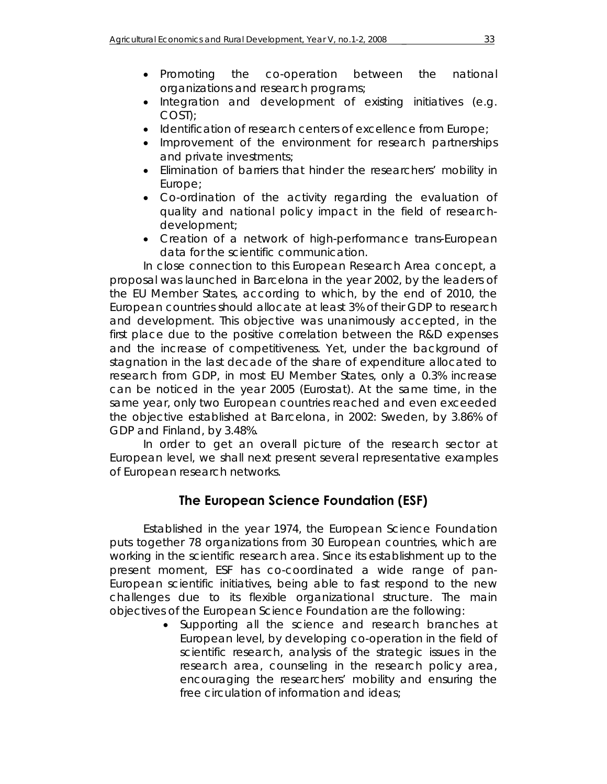- Integration and development of existing initiatives (e.g. COST);
- Identification of research centers of excellence from Europe;
- Improvement of the environment for research partnerships and private investments;
- Elimination of barriers that hinder the researchers' mobility in Europe;
- Co-ordination of the activity regarding the evaluation of quality and national policy impact in the field of researchdevelopment;
- Creation of a network of high-performance trans-European data for the scientific communication.

In close connection to this European Research Area concept, a proposal was launched in Barcelona in the year 2002, by the leaders of the EU Member States, according to which, by the end of 2010, the European countries should allocate at least 3% of their GDP to research and development. This objective was unanimously accepted, in the first place due to the positive correlation between the R&D expenses and the increase of competitiveness. Yet, under the background of stagnation in the last decade of the share of expenditure allocated to research from GDP, in most EU Member States, only a 0.3% increase can be noticed in the year 2005 (Eurostat). At the same time, in the same year, only two European countries reached and even exceeded the objective established at Barcelona, in 2002: Sweden, by 3.86% of GDP and Finland, by 3.48%.

In order to get an overall picture of the research sector at European level, we shall next present several representative examples of European research networks.

# **The European Science Foundation (ESF)**

Established in the year 1974, the European Science Foundation puts together 78 organizations from 30 European countries, which are working in the scientific research area. Since its establishment up to the present moment, ESF has co-coordinated a wide range of pan-European scientific initiatives, being able to fast respond to the new challenges due to its flexible organizational structure. The main objectives of the European Science Foundation are the following:

> • Supporting all the science and research branches at European level, by developing co-operation in the field of scientific research, analysis of the strategic issues in the research area, counseling in the research policy area, encouraging the researchers' mobility and ensuring the free circulation of information and ideas;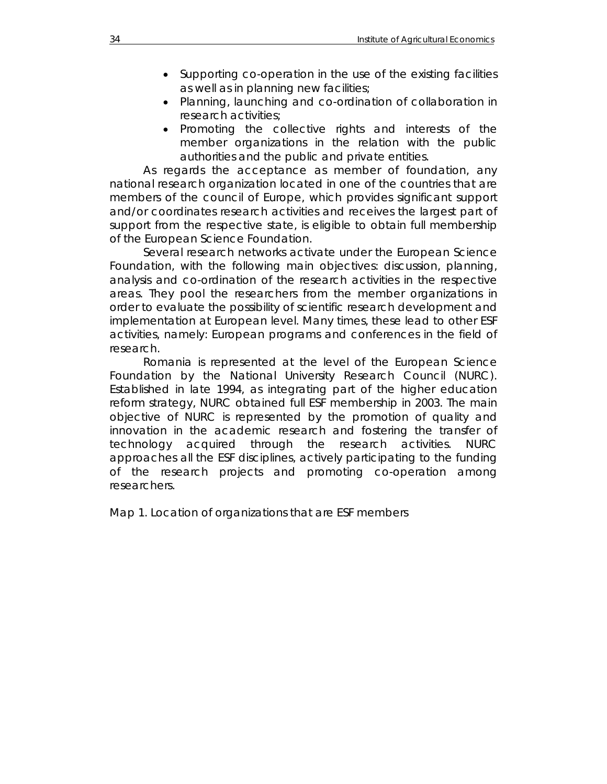- Supporting co-operation in the use of the existing facilities as well as in planning new facilities;
- Planning, launching and co-ordination of collaboration in research activities;
- Promoting the collective rights and interests of the member organizations in the relation with the public authorities and the public and private entities.

As regards the acceptance as member of foundation, any national research organization located in one of the countries that are members of the council of Europe, which provides significant support and/or coordinates research activities and receives the largest part of support from the respective state, is eligible to obtain full membership of the European Science Foundation.

Several research networks activate under the European Science Foundation, with the following main objectives: discussion, planning, analysis and co-ordination of the research activities in the respective areas. They pool the researchers from the member organizations in order to evaluate the possibility of scientific research development and implementation at European level. Many times, these lead to other ESF activities, namely: European programs and conferences in the field of research.

Romania is represented at the level of the European Science Foundation by the National University Research Council (NURC). Established in late 1994, as integrating part of the higher education reform strategy, NURC obtained full ESF membership in 2003. The main objective of NURC is represented by the promotion of quality and innovation in the academic research and fostering the transfer of technology acquired through the research activities. NURC approaches all the ESF disciplines, actively participating to the funding of the research projects and promoting co-operation among researchers.

Map 1. Location of organizations that are ESF members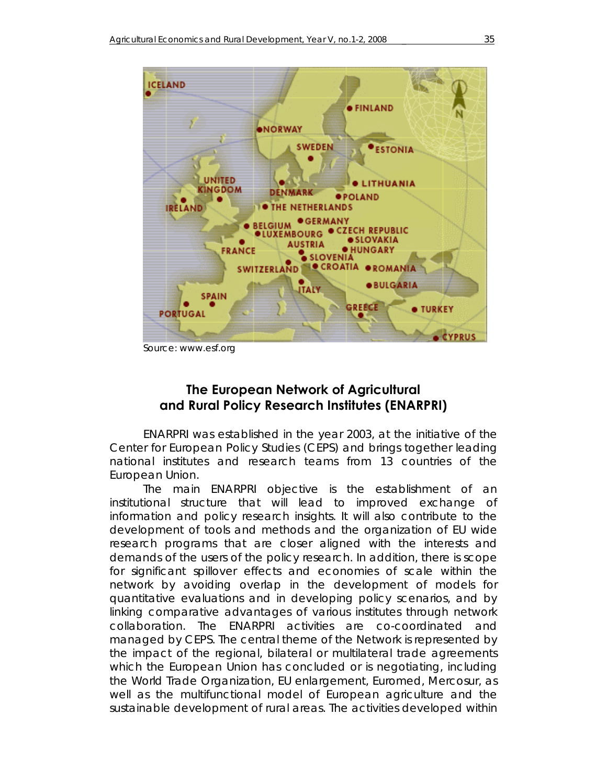

Source: www.esf.org

# **The European Network of Agricultural and Rural Policy Research Institutes (ENARPRI)**

ENARPRI was established in the year 2003, at the initiative of the Center for European Policy Studies (CEPS) and brings together leading national institutes and research teams from 13 countries of the European Union.

The main ENARPRI objective is the establishment of an institutional structure that will lead to improved exchange of information and policy research insights. It will also contribute to the development of tools and methods and the organization of EU wide research programs that are closer aligned with the interests and demands of the users of the policy research. In addition, there is scope for significant spillover effects and economies of scale within the network by avoiding overlap in the development of models for quantitative evaluations and in developing policy scenarios, and by linking comparative advantages of various institutes through network collaboration. The ENARPRI activities are co-coordinated and managed by CEPS. The central theme of the Network is represented by the impact of the regional, bilateral or multilateral trade agreements which the European Union has concluded or is negotiating, including the World Trade Organization, EU enlargement, Euromed, Mercosur, as well as the multifunctional model of European agriculture and the sustainable development of rural areas. The activities developed within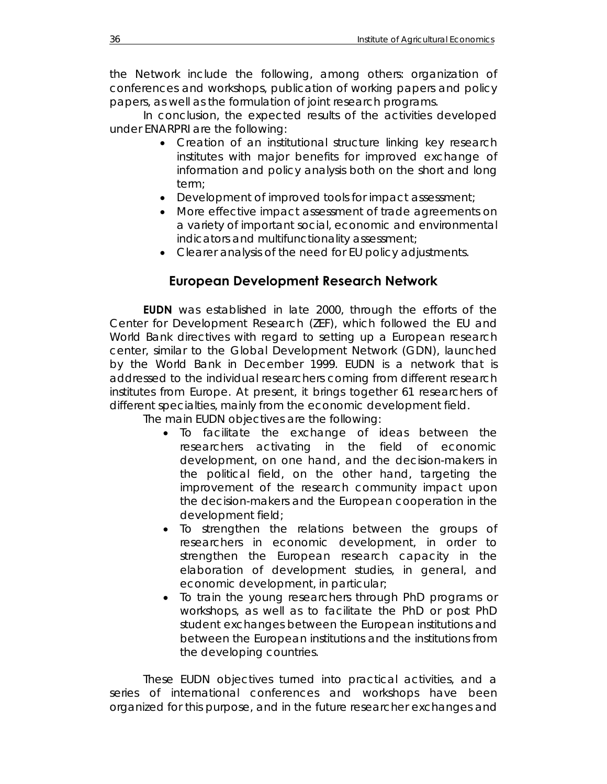the Network include the following, among others: organization of conferences and workshops, publication of working papers and policy papers, as well as the formulation of joint research programs.

In conclusion, the expected results of the activities developed under ENARPRI are the following:

- Creation of an institutional structure linking key research institutes with major benefits for improved exchange of information and policy analysis both on the short and long term;
- Development of improved tools for impact assessment;
- More effective impact assessment of trade agreements on a variety of important social, economic and environmental indicators and multifunctionality assessment;
- Clearer analysis of the need for EU policy adjustments.

### **European Development Research Network**

**EUDN** was established in late 2000, through the efforts of the Center for Development Research (ZEF), which followed the EU and World Bank directives with regard to setting up a European research center, similar to the Global Development Network (GDN), launched by the World Bank in December 1999. EUDN is a network that is addressed to the individual researchers coming from different research institutes from Europe. At present, it brings together 61 researchers of different specialties, mainly from the economic development field.

The main EUDN objectives are the following:

- To facilitate the exchange of ideas between the researchers activating in the field of economic development, on one hand, and the decision-makers in the political field, on the other hand, targeting the improvement of the research community impact upon the decision-makers and the European cooperation in the development field;
- To strengthen the relations between the groups of researchers in economic development, in order to strengthen the European research capacity in the elaboration of development studies, in general, and economic development, in particular;
- To train the young researchers through PhD programs or workshops, as well as to facilitate the PhD or post PhD student exchanges between the European institutions and between the European institutions and the institutions from the developing countries.

These EUDN objectives turned into practical activities, and a series of international conferences and workshops have been organized for this purpose, and in the future researcher exchanges and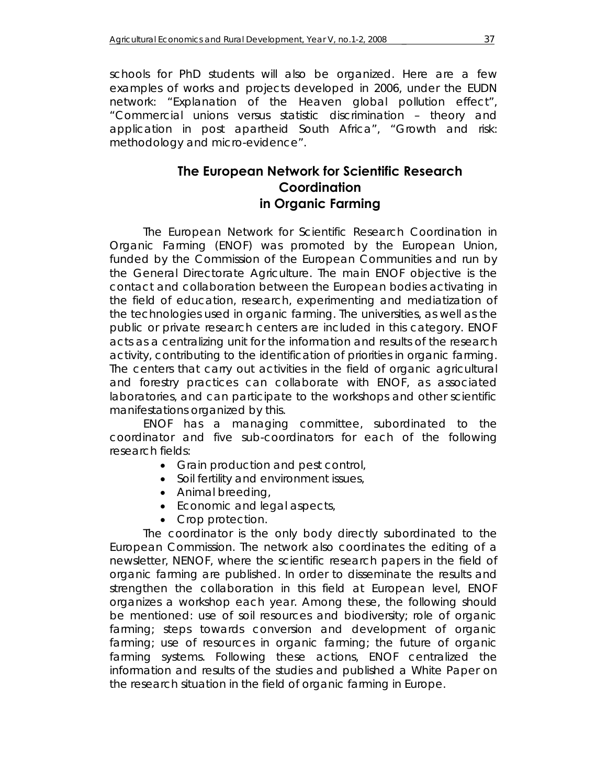schools for PhD students will also be organized. Here are a few examples of works and projects developed in 2006, under the EUDN network: "Explanation of the Heaven global pollution effect", "Commercial unions versus statistic discrimination – theory and application in post apartheid South Africa", "Growth and risk: methodology and micro-evidence".

# **The European Network for Scientific Research Coordination in Organic Farming**

The European Network for Scientific Research Coordination in Organic Farming (ENOF) was promoted by the European Union, funded by the Commission of the European Communities and run by the General Directorate Agriculture. The main ENOF objective is the contact and collaboration between the European bodies activating in the field of education, research, experimenting and mediatization of the technologies used in organic farming. The universities, as well as the public or private research centers are included in this category. ENOF acts as a centralizing unit for the information and results of the research activity, contributing to the identification of priorities in organic farming. The centers that carry out activities in the field of organic agricultural and forestry practices can collaborate with ENOF, as associated laboratories, and can participate to the workshops and other scientific manifestations organized by this.

 ENOF has a managing committee, subordinated to the coordinator and five sub-coordinators for each of the following research fields:

- Grain production and pest control,
- Soil fertility and environment issues,
- Animal breeding,
- Economic and legal aspects,
- Crop protection.

The coordinator is the only body directly subordinated to the European Commission. The network also coordinates the editing of a newsletter, NENOF, where the scientific research papers in the field of organic farming are published. In order to disseminate the results and strengthen the collaboration in this field at European level, ENOF organizes a workshop each year. Among these, the following should be mentioned: use of soil resources and biodiversity; role of organic farming; steps towards conversion and development of organic farming; use of resources in organic farming; the future of organic farming systems. Following these actions, ENOF centralized the information and results of the studies and published a White Paper on the research situation in the field of organic farming in Europe.